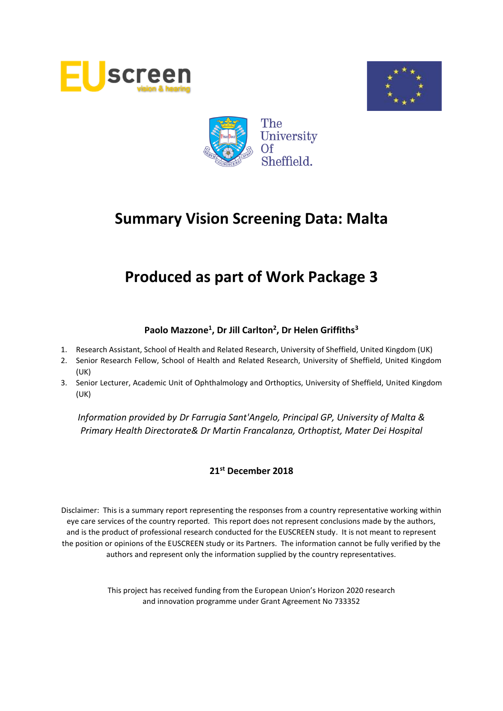





# **Produced as part of Work Package 3**

# **Paolo Mazzone<sup>1</sup> , Dr Jill Carlton<sup>2</sup> , Dr Helen Griffiths<sup>3</sup>**

- 1. Research Assistant, School of Health and Related Research, University of Sheffield, United Kingdom (UK)
- 2. Senior Research Fellow, School of Health and Related Research, University of Sheffield, United Kingdom (UK)
- 3. Senior Lecturer, Academic Unit of Ophthalmology and Orthoptics, University of Sheffield, United Kingdom (UK)

*Information provided by Dr Farrugia Sant'Angelo, Principal GP, University of Malta & Primary Health Directorate& Dr Martin Francalanza, Orthoptist, Mater Dei Hospital*

# **21st December 2018**

Disclaimer: This is a summary report representing the responses from a country representative working within eye care services of the country reported. This report does not represent conclusions made by the authors, and is the product of professional research conducted for the EUSCREEN study. It is not meant to represent the position or opinions of the EUSCREEN study or its Partners. The information cannot be fully verified by the authors and represent only the information supplied by the country representatives.

> This project has received funding from the European Union's Horizon 2020 research and innovation programme under Grant Agreement No 733352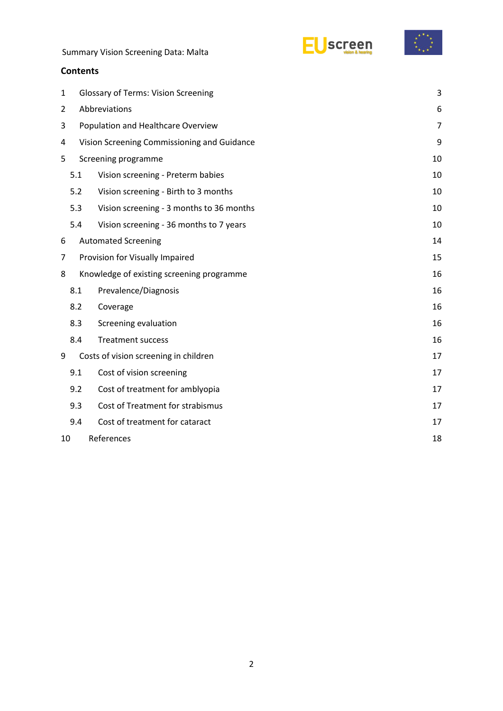



## **Contents**

| 1                                              |                                          | 3<br><b>Glossary of Terms: Vision Screening</b> |    |  |  |  |  |
|------------------------------------------------|------------------------------------------|-------------------------------------------------|----|--|--|--|--|
| 2                                              |                                          | Abbreviations<br>6                              |    |  |  |  |  |
| 3                                              | Population and Healthcare Overview       |                                                 |    |  |  |  |  |
| 4                                              |                                          | Vision Screening Commissioning and Guidance     |    |  |  |  |  |
| 5                                              | Screening programme                      |                                                 |    |  |  |  |  |
|                                                | 5.1<br>Vision screening - Preterm babies | 10                                              |    |  |  |  |  |
|                                                | 5.2                                      | Vision screening - Birth to 3 months            | 10 |  |  |  |  |
|                                                | 5.3                                      | Vision screening - 3 months to 36 months        | 10 |  |  |  |  |
|                                                | 5.4                                      | Vision screening - 36 months to 7 years         | 10 |  |  |  |  |
| 6                                              |                                          | <b>Automated Screening</b>                      | 14 |  |  |  |  |
| 7                                              | Provision for Visually Impaired          |                                                 |    |  |  |  |  |
| Knowledge of existing screening programme<br>8 |                                          | 16                                              |    |  |  |  |  |
|                                                | 8.1                                      | Prevalence/Diagnosis                            | 16 |  |  |  |  |
|                                                | 8.2                                      | Coverage                                        | 16 |  |  |  |  |
|                                                | 8.3                                      | Screening evaluation                            | 16 |  |  |  |  |
|                                                | 8.4                                      | <b>Treatment success</b>                        | 16 |  |  |  |  |
| 9                                              |                                          | Costs of vision screening in children           | 17 |  |  |  |  |
|                                                | 9.1                                      | Cost of vision screening                        | 17 |  |  |  |  |
|                                                | 9.2                                      | Cost of treatment for amblyopia                 | 17 |  |  |  |  |
|                                                | 9.3                                      | Cost of Treatment for strabismus                | 17 |  |  |  |  |
|                                                | 9.4                                      | Cost of treatment for cataract                  | 17 |  |  |  |  |
| 10                                             | References<br>18                         |                                                 |    |  |  |  |  |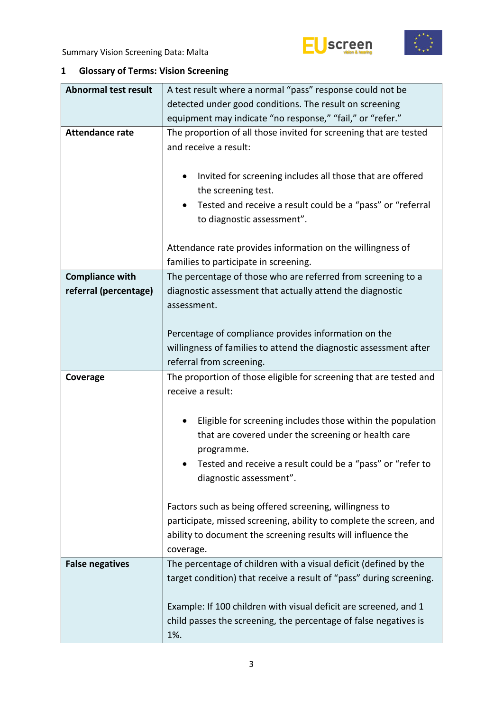





# <span id="page-2-0"></span>**1 Glossary of Terms: Vision Screening**

| <b>Abnormal test result</b> | A test result where a normal "pass" response could not be                                                                                                                                                                      |  |  |  |  |  |
|-----------------------------|--------------------------------------------------------------------------------------------------------------------------------------------------------------------------------------------------------------------------------|--|--|--|--|--|
|                             | detected under good conditions. The result on screening                                                                                                                                                                        |  |  |  |  |  |
|                             | equipment may indicate "no response," "fail," or "refer."                                                                                                                                                                      |  |  |  |  |  |
| <b>Attendance rate</b>      | The proportion of all those invited for screening that are tested<br>and receive a result:                                                                                                                                     |  |  |  |  |  |
|                             | Invited for screening includes all those that are offered<br>$\bullet$<br>the screening test.                                                                                                                                  |  |  |  |  |  |
|                             | Tested and receive a result could be a "pass" or "referral<br>٠<br>to diagnostic assessment".                                                                                                                                  |  |  |  |  |  |
|                             | Attendance rate provides information on the willingness of<br>families to participate in screening.                                                                                                                            |  |  |  |  |  |
| <b>Compliance with</b>      | The percentage of those who are referred from screening to a                                                                                                                                                                   |  |  |  |  |  |
| referral (percentage)       | diagnostic assessment that actually attend the diagnostic<br>assessment.                                                                                                                                                       |  |  |  |  |  |
|                             | Percentage of compliance provides information on the                                                                                                                                                                           |  |  |  |  |  |
|                             | willingness of families to attend the diagnostic assessment after                                                                                                                                                              |  |  |  |  |  |
|                             | referral from screening.                                                                                                                                                                                                       |  |  |  |  |  |
|                             |                                                                                                                                                                                                                                |  |  |  |  |  |
| Coverage                    | The proportion of those eligible for screening that are tested and<br>receive a result:                                                                                                                                        |  |  |  |  |  |
|                             | Eligible for screening includes those within the population<br>٠<br>that are covered under the screening or health care<br>programme.<br>Tested and receive a result could be a "pass" or "refer to<br>diagnostic assessment". |  |  |  |  |  |
|                             | Factors such as being offered screening, willingness to<br>participate, missed screening, ability to complete the screen, and<br>ability to document the screening results will influence the<br>coverage.                     |  |  |  |  |  |
| <b>False negatives</b>      | The percentage of children with a visual deficit (defined by the<br>target condition) that receive a result of "pass" during screening.                                                                                        |  |  |  |  |  |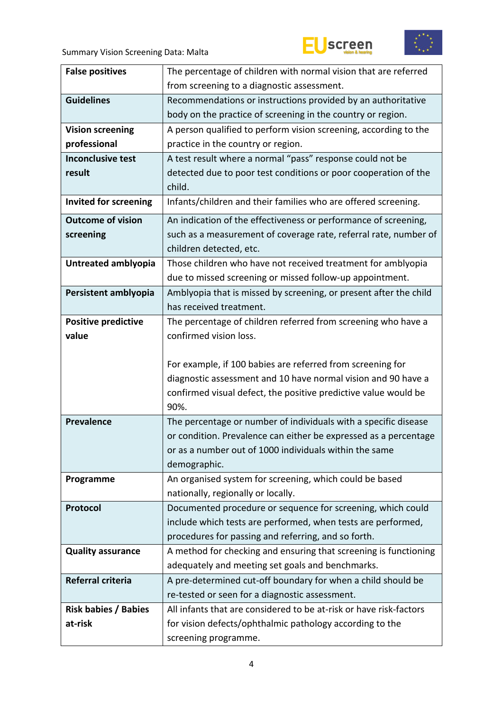





| <b>False positives</b>      | The percentage of children with normal vision that are referred                  |  |  |  |  |  |
|-----------------------------|----------------------------------------------------------------------------------|--|--|--|--|--|
|                             | from screening to a diagnostic assessment.                                       |  |  |  |  |  |
| <b>Guidelines</b>           | Recommendations or instructions provided by an authoritative                     |  |  |  |  |  |
|                             | body on the practice of screening in the country or region.                      |  |  |  |  |  |
| <b>Vision screening</b>     | A person qualified to perform vision screening, according to the                 |  |  |  |  |  |
| professional                | practice in the country or region.                                               |  |  |  |  |  |
| <b>Inconclusive test</b>    | A test result where a normal "pass" response could not be                        |  |  |  |  |  |
| result                      | detected due to poor test conditions or poor cooperation of the                  |  |  |  |  |  |
|                             | child.                                                                           |  |  |  |  |  |
| Invited for screening       | Infants/children and their families who are offered screening.                   |  |  |  |  |  |
| <b>Outcome of vision</b>    | An indication of the effectiveness or performance of screening,                  |  |  |  |  |  |
| screening                   | such as a measurement of coverage rate, referral rate, number of                 |  |  |  |  |  |
|                             | children detected, etc.                                                          |  |  |  |  |  |
| Untreated amblyopia         | Those children who have not received treatment for amblyopia                     |  |  |  |  |  |
|                             | due to missed screening or missed follow-up appointment.                         |  |  |  |  |  |
| Persistent amblyopia        | Amblyopia that is missed by screening, or present after the child                |  |  |  |  |  |
|                             | has received treatment.                                                          |  |  |  |  |  |
| <b>Positive predictive</b>  | The percentage of children referred from screening who have a                    |  |  |  |  |  |
| value                       | confirmed vision loss.                                                           |  |  |  |  |  |
|                             |                                                                                  |  |  |  |  |  |
|                             | For example, if 100 babies are referred from screening for                       |  |  |  |  |  |
|                             |                                                                                  |  |  |  |  |  |
|                             | diagnostic assessment and 10 have normal vision and 90 have a                    |  |  |  |  |  |
|                             | confirmed visual defect, the positive predictive value would be                  |  |  |  |  |  |
|                             | 90%.                                                                             |  |  |  |  |  |
| <b>Prevalence</b>           | The percentage or number of individuals with a specific disease                  |  |  |  |  |  |
|                             | or condition. Prevalence can either be expressed as a percentage                 |  |  |  |  |  |
|                             | or as a number out of 1000 individuals within the same                           |  |  |  |  |  |
|                             | demographic.                                                                     |  |  |  |  |  |
| Programme                   | An organised system for screening, which could be based                          |  |  |  |  |  |
|                             | nationally, regionally or locally.                                               |  |  |  |  |  |
| Protocol                    | Documented procedure or sequence for screening, which could                      |  |  |  |  |  |
|                             | include which tests are performed, when tests are performed,                     |  |  |  |  |  |
|                             | procedures for passing and referring, and so forth.                              |  |  |  |  |  |
| <b>Quality assurance</b>    | A method for checking and ensuring that screening is functioning                 |  |  |  |  |  |
|                             | adequately and meeting set goals and benchmarks.                                 |  |  |  |  |  |
| Referral criteria           | A pre-determined cut-off boundary for when a child should be                     |  |  |  |  |  |
|                             | re-tested or seen for a diagnostic assessment.                                   |  |  |  |  |  |
| <b>Risk babies / Babies</b> | All infants that are considered to be at-risk or have risk-factors               |  |  |  |  |  |
| at-risk                     | for vision defects/ophthalmic pathology according to the<br>screening programme. |  |  |  |  |  |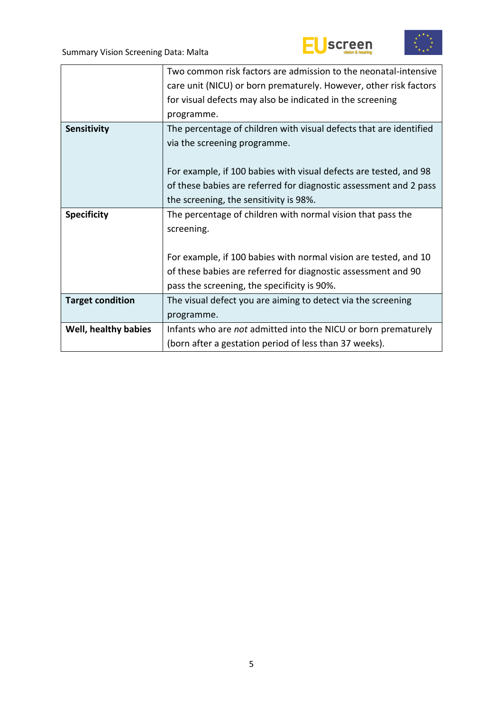



|                         | Two common risk factors are admission to the neonatal-intensive    |  |  |  |  |  |
|-------------------------|--------------------------------------------------------------------|--|--|--|--|--|
|                         | care unit (NICU) or born prematurely. However, other risk factors  |  |  |  |  |  |
|                         | for visual defects may also be indicated in the screening          |  |  |  |  |  |
|                         | programme.                                                         |  |  |  |  |  |
| Sensitivity             | The percentage of children with visual defects that are identified |  |  |  |  |  |
|                         | via the screening programme.                                       |  |  |  |  |  |
|                         |                                                                    |  |  |  |  |  |
|                         | For example, if 100 babies with visual defects are tested, and 98  |  |  |  |  |  |
|                         | of these babies are referred for diagnostic assessment and 2 pass  |  |  |  |  |  |
|                         | the screening, the sensitivity is 98%.                             |  |  |  |  |  |
| <b>Specificity</b>      | The percentage of children with normal vision that pass the        |  |  |  |  |  |
|                         | screening.                                                         |  |  |  |  |  |
|                         |                                                                    |  |  |  |  |  |
|                         | For example, if 100 babies with normal vision are tested, and 10   |  |  |  |  |  |
|                         | of these babies are referred for diagnostic assessment and 90      |  |  |  |  |  |
|                         | pass the screening, the specificity is 90%.                        |  |  |  |  |  |
| <b>Target condition</b> | The visual defect you are aiming to detect via the screening       |  |  |  |  |  |
|                         | programme.                                                         |  |  |  |  |  |
| Well, healthy babies    | Infants who are not admitted into the NICU or born prematurely     |  |  |  |  |  |
|                         | (born after a gestation period of less than 37 weeks).             |  |  |  |  |  |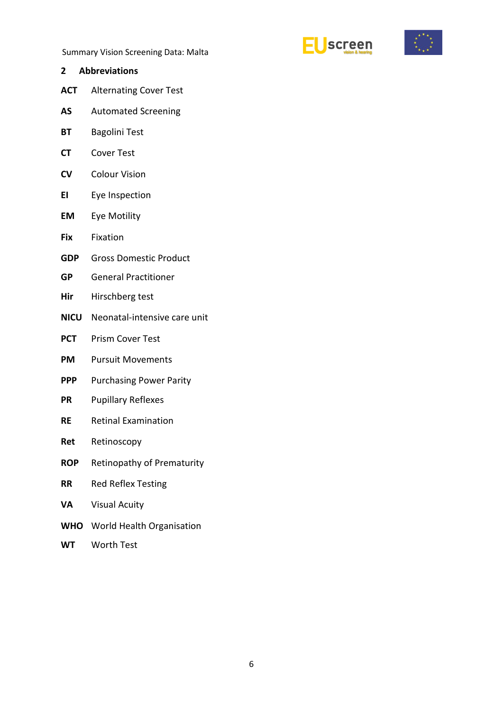



- <span id="page-5-0"></span>**2 Abbreviations**
- **ACT** Alternating Cover Test
- **AS** Automated Screening
- **BT** Bagolini Test
- **CT** Cover Test
- **CV** Colour Vision
- **EI** Eye Inspection
- **EM** Eye Motility
- **Fix** Fixation
- **GDP** Gross Domestic Product
- **GP** General Practitioner
- **Hir** Hirschberg test
- **NICU** Neonatal-intensive care unit
- **PCT** Prism Cover Test
- **PM** Pursuit Movements
- **PPP** Purchasing Power Parity
- **PR** Pupillary Reflexes
- **RE** Retinal Examination
- **Ret** Retinoscopy
- **ROP** Retinopathy of Prematurity
- **RR** Red Reflex Testing
- **VA** Visual Acuity
- **WHO** World Health Organisation
- **WT** Worth Test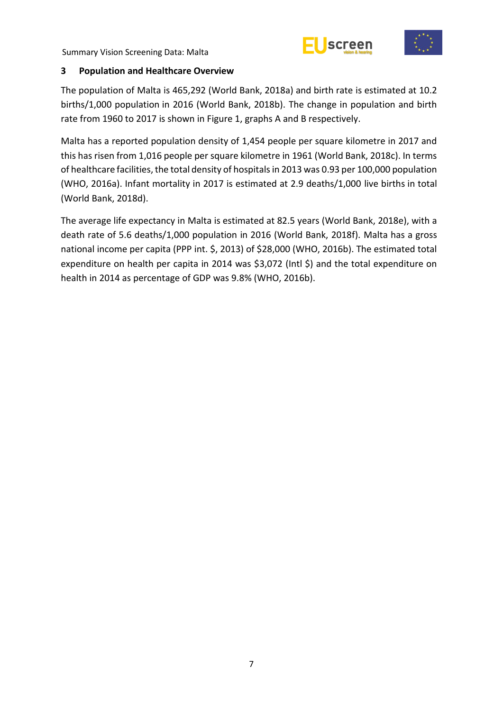



# <span id="page-6-0"></span>**3 Population and Healthcare Overview**

The population of Malta is 465,292 (World Bank, 2018a) and birth rate is estimated at 10.2 births/1,000 population in 2016 (World Bank, 2018b). The change in population and birth rate from 1960 to 2017 is shown in Figure 1, graphs A and B respectively.

Malta has a reported population density of 1,454 people per square kilometre in 2017 and this has risen from 1,016 people per square kilometre in 1961 (World Bank, 2018c). In terms of healthcare facilities, the total density of hospitals in 2013 was 0.93 per 100,000 population (WHO, 2016a). Infant mortality in 2017 is estimated at 2.9 deaths/1,000 live births in total (World Bank, 2018d).

The average life expectancy in Malta is estimated at 82.5 years (World Bank, 2018e), with a death rate of 5.6 deaths/1,000 population in 2016 (World Bank, 2018f). Malta has a gross national income per capita (PPP int. \$, 2013) of \$28,000 (WHO, 2016b). The estimated total expenditure on health per capita in 2014 was \$3,072 (Intl \$) and the total expenditure on health in 2014 as percentage of GDP was 9.8% (WHO, 2016b).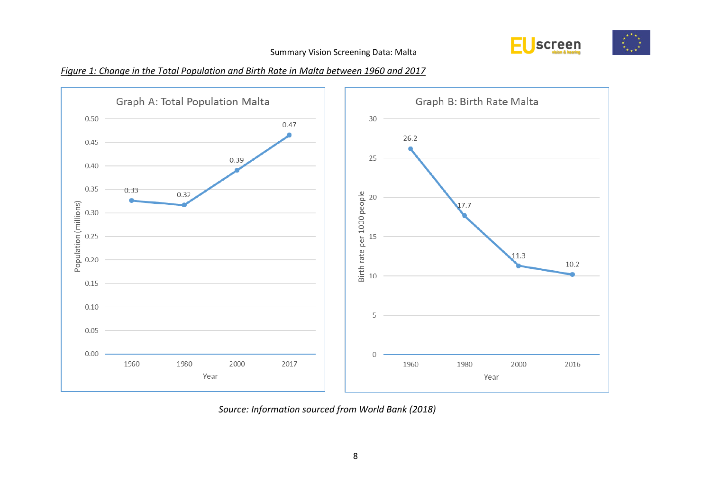

# *Figure 1: Change in the Total Population and Birth Rate in Malta between 1960 and 2017*



*Source: Information sourced from World Bank (2018)*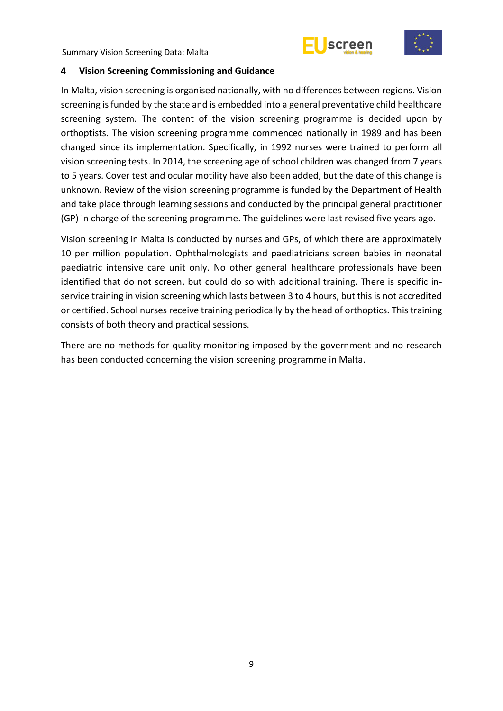



#### <span id="page-8-0"></span>**4 Vision Screening Commissioning and Guidance**

In Malta, vision screening is organised nationally, with no differences between regions. Vision screening is funded by the state and is embedded into a general preventative child healthcare screening system. The content of the vision screening programme is decided upon by orthoptists. The vision screening programme commenced nationally in 1989 and has been changed since its implementation. Specifically, in 1992 nurses were trained to perform all vision screening tests. In 2014, the screening age of school children was changed from 7 years to 5 years. Cover test and ocular motility have also been added, but the date of this change is unknown. Review of the vision screening programme is funded by the Department of Health and take place through learning sessions and conducted by the principal general practitioner (GP) in charge of the screening programme. The guidelines were last revised five years ago.

Vision screening in Malta is conducted by nurses and GPs, of which there are approximately 10 per million population. Ophthalmologists and paediatricians screen babies in neonatal paediatric intensive care unit only. No other general healthcare professionals have been identified that do not screen, but could do so with additional training. There is specific inservice training in vision screening which lasts between 3 to 4 hours, but this is not accredited or certified. School nurses receive training periodically by the head of orthoptics. This training consists of both theory and practical sessions.

There are no methods for quality monitoring imposed by the government and no research has been conducted concerning the vision screening programme in Malta.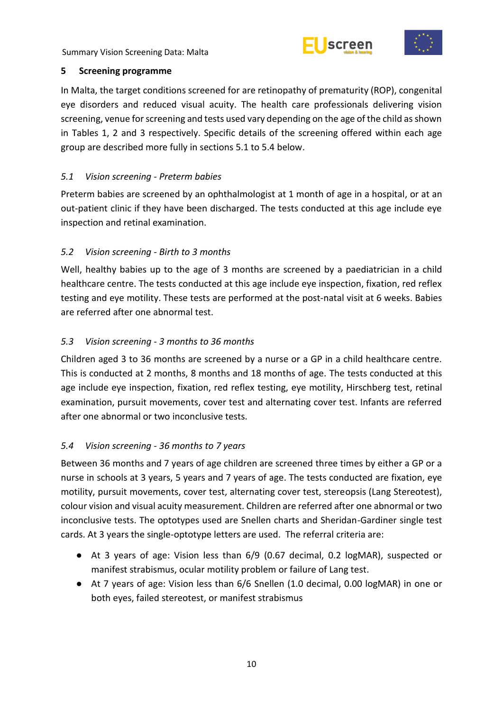



# <span id="page-9-0"></span>**5 Screening programme**

In Malta, the target conditions screened for are retinopathy of prematurity (ROP), congenital eye disorders and reduced visual acuity. The health care professionals delivering vision screening, venue for screening and tests used vary depending on the age of the child as shown in Tables 1, 2 and 3 respectively. Specific details of the screening offered within each age group are described more fully in sections 5.1 to 5.4 below.

# <span id="page-9-1"></span>*5.1 Vision screening - Preterm babies*

Preterm babies are screened by an ophthalmologist at 1 month of age in a hospital, or at an out-patient clinic if they have been discharged. The tests conducted at this age include eye inspection and retinal examination.

# <span id="page-9-2"></span>*5.2 Vision screening - Birth to 3 months*

Well, healthy babies up to the age of 3 months are screened by a paediatrician in a child healthcare centre. The tests conducted at this age include eye inspection, fixation, red reflex testing and eye motility. These tests are performed at the post-natal visit at 6 weeks. Babies are referred after one abnormal test.

# <span id="page-9-3"></span>*5.3 Vision screening - 3 months to 36 months*

Children aged 3 to 36 months are screened by a nurse or a GP in a child healthcare centre. This is conducted at 2 months, 8 months and 18 months of age. The tests conducted at this age include eye inspection, fixation, red reflex testing, eye motility, Hirschberg test, retinal examination, pursuit movements, cover test and alternating cover test. Infants are referred after one abnormal or two inconclusive tests.

# <span id="page-9-4"></span>*5.4 Vision screening - 36 months to 7 years*

Between 36 months and 7 years of age children are screened three times by either a GP or a nurse in schools at 3 years, 5 years and 7 years of age. The tests conducted are fixation, eye motility, pursuit movements, cover test, alternating cover test, stereopsis (Lang Stereotest), colour vision and visual acuity measurement. Children are referred after one abnormal or two inconclusive tests. The optotypes used are Snellen charts and Sheridan-Gardiner single test cards. At 3 years the single-optotype letters are used. The referral criteria are:

- At 3 years of age: Vision less than 6/9 (0.67 decimal, 0.2 logMAR), suspected or manifest strabismus, ocular motility problem or failure of Lang test.
- At 7 years of age: Vision less than 6/6 Snellen (1.0 decimal, 0.00 logMAR) in one or both eyes, failed stereotest, or manifest strabismus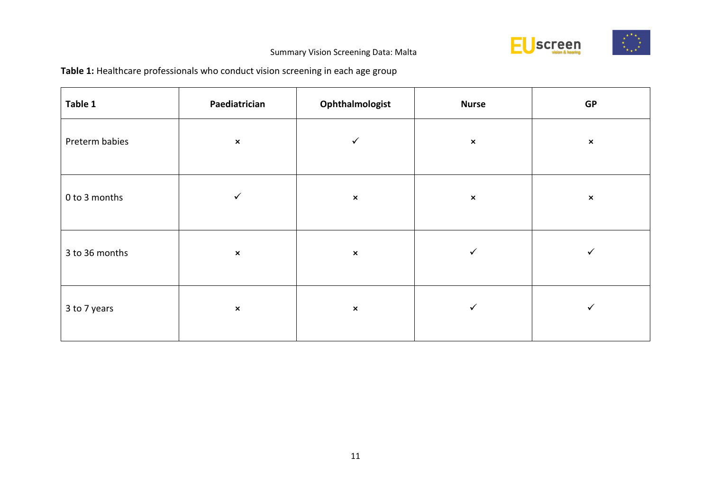

# **Table 1:** Healthcare professionals who conduct vision screening in each age group

| Table 1        | Paediatrician  | Ophthalmologist | <b>Nurse</b>   | GP             |
|----------------|----------------|-----------------|----------------|----------------|
| Preterm babies | $\pmb{\times}$ | $\checkmark$    | $\pmb{\times}$ | $\pmb{\times}$ |
| 0 to 3 months  | ✓              | $\pmb{\times}$  | $\pmb{\times}$ | $\pmb{\times}$ |
| 3 to 36 months | $\pmb{\times}$ | $\pmb{\times}$  | ✓              | ✓              |
| 3 to 7 years   | $\pmb{\times}$ | $\pmb{\times}$  | ✓              | ✓              |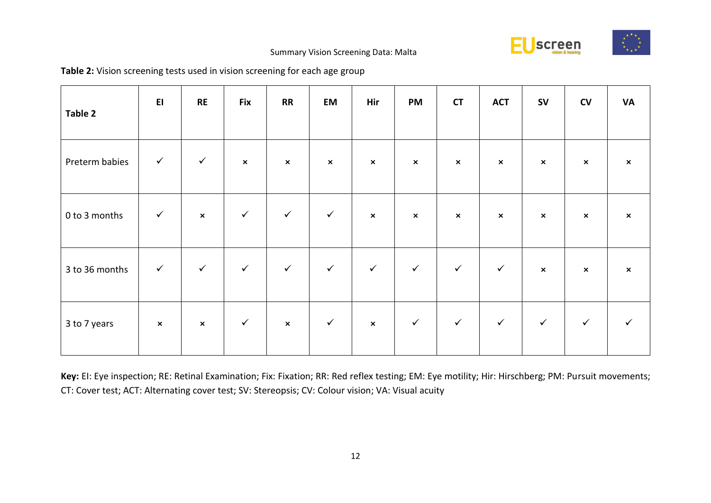

| Table 2        | E1             | RE             | <b>Fix</b>     | <b>RR</b>                 | EM             | Hir                       | <b>PM</b>      | <b>CT</b>      | <b>ACT</b>     | <b>SV</b>                 | ${\sf CV}$                | <b>VA</b>      |
|----------------|----------------|----------------|----------------|---------------------------|----------------|---------------------------|----------------|----------------|----------------|---------------------------|---------------------------|----------------|
| Preterm babies | $\checkmark$   | $\checkmark$   | $\pmb{\times}$ | $\pmb{\times}$            | $\pmb{\times}$ | $\pmb{\times}$            | $\pmb{\times}$ | $\pmb{\times}$ | $\pmb{\times}$ | $\boldsymbol{\mathsf{x}}$ | $\pmb{\times}$            | $\pmb{\times}$ |
| 0 to 3 months  | $\checkmark$   | $\pmb{\times}$ | $\checkmark$   | $\checkmark$              | $\checkmark$   | $\boldsymbol{\mathsf{x}}$ | $\pmb{\times}$ | $\pmb{\times}$ | $\pmb{\times}$ | $\mathsf{x}$              | $\boldsymbol{\mathsf{x}}$ | $\pmb{\times}$ |
| 3 to 36 months | $\checkmark$   | $\checkmark$   | $\checkmark$   | $\checkmark$              | $\checkmark$   | $\checkmark$              | $\checkmark$   | $\checkmark$   | $\checkmark$   | $\pmb{\times}$            | $\mathsf{x}$              | $\pmb{\times}$ |
| 3 to 7 years   | $\pmb{\times}$ | $\pmb{\times}$ | $\checkmark$   | $\boldsymbol{\mathsf{x}}$ | $\checkmark$   | $\pmb{\times}$            | $\checkmark$   | $\checkmark$   | $\checkmark$   | $\checkmark$              | $\checkmark$              | $\checkmark$   |

**Key:** EI: Eye inspection; RE: Retinal Examination; Fix: Fixation; RR: Red reflex testing; EM: Eye motility; Hir: Hirschberg; PM: Pursuit movements; CT: Cover test; ACT: Alternating cover test; SV: Stereopsis; CV: Colour vision; VA: Visual acuity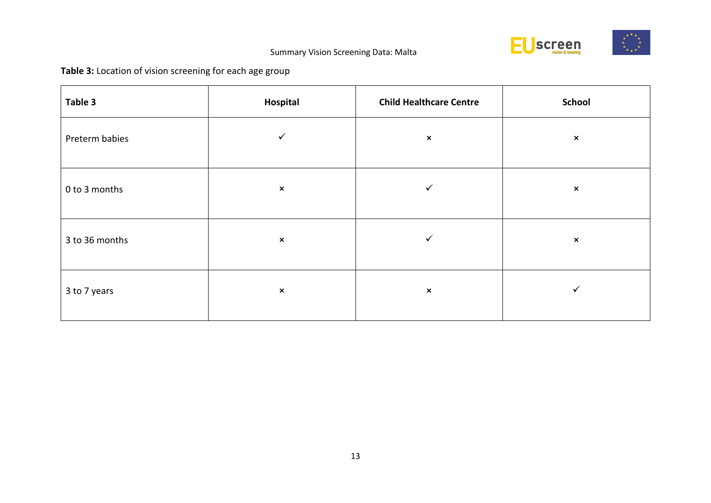

# **Table 3:** Location of vision screening for each age group

| Table 3        | Hospital       | <b>Child Healthcare Centre</b> | <b>School</b>  |
|----------------|----------------|--------------------------------|----------------|
| Preterm babies | $\checkmark$   | $\pmb{\times}$                 | $\pmb{\times}$ |
| 0 to 3 months  | $\pmb{\times}$ | $\checkmark$                   | $\pmb{\times}$ |
| 3 to 36 months | $\pmb{\times}$ | $\checkmark$                   | $\pmb{\times}$ |
| 3 to 7 years   | $\pmb{\times}$ | $\pmb{\times}$                 |                |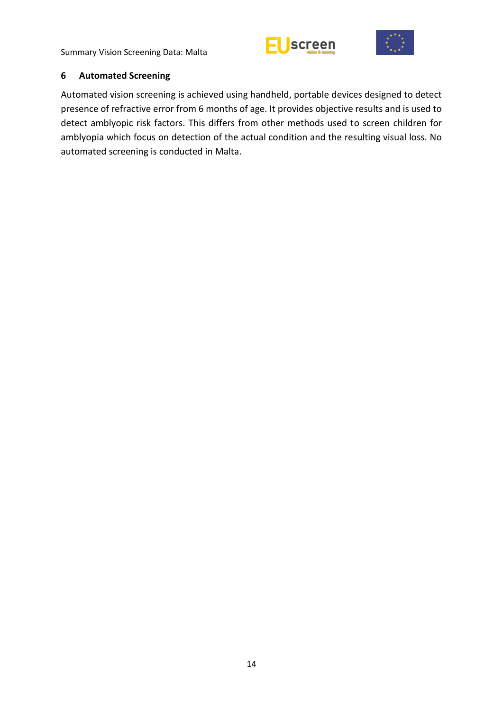



# <span id="page-13-0"></span>**6 Automated Screening**

Automated vision screening is achieved using handheld, portable devices designed to detect presence of refractive error from 6 months of age. It provides objective results and is used to detect amblyopic risk factors. This differs from other methods used to screen children for amblyopia which focus on detection of the actual condition and the resulting visual loss. No automated screening is conducted in Malta.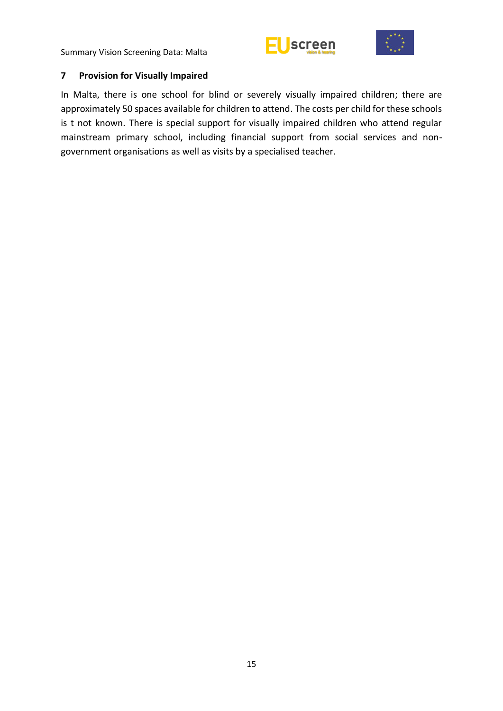# screen



# <span id="page-14-0"></span>**7 Provision for Visually Impaired**

In Malta, there is one school for blind or severely visually impaired children; there are approximately 50 spaces available for children to attend. The costs per child for these schools is t not known. There is special support for visually impaired children who attend regular mainstream primary school, including financial support from social services and nongovernment organisations as well as visits by a specialised teacher.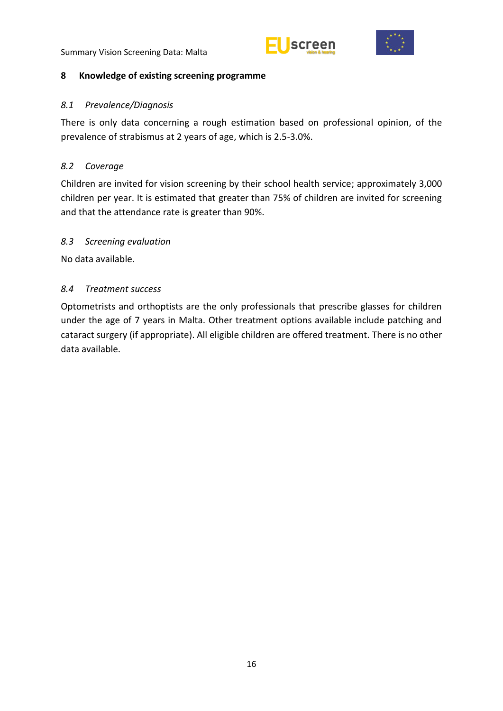



#### <span id="page-15-0"></span>**8 Knowledge of existing screening programme**

#### <span id="page-15-1"></span>*8.1 Prevalence/Diagnosis*

There is only data concerning a rough estimation based on professional opinion, of the prevalence of strabismus at 2 years of age, which is 2.5-3.0%.

# <span id="page-15-2"></span>*8.2 Coverage*

Children are invited for vision screening by their school health service; approximately 3,000 children per year. It is estimated that greater than 75% of children are invited for screening and that the attendance rate is greater than 90%.

## <span id="page-15-3"></span>*8.3 Screening evaluation*

No data available.

## <span id="page-15-4"></span>*8.4 Treatment success*

Optometrists and orthoptists are the only professionals that prescribe glasses for children under the age of 7 years in Malta. Other treatment options available include patching and cataract surgery (if appropriate). All eligible children are offered treatment. There is no other data available.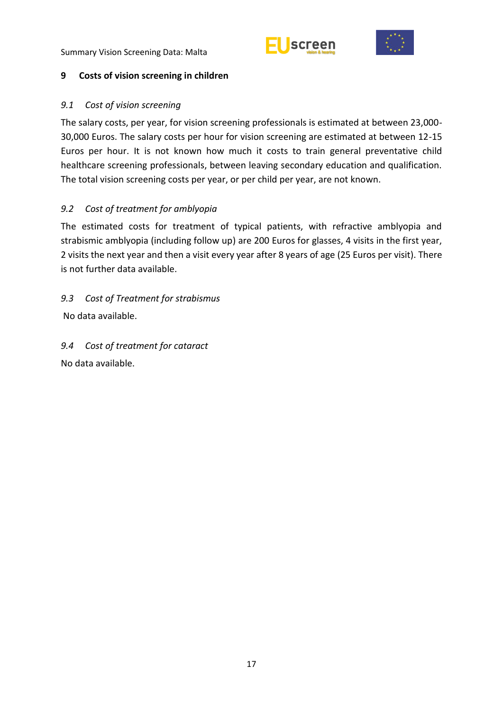



# <span id="page-16-0"></span>**9 Costs of vision screening in children**

# <span id="page-16-1"></span>*9.1 Cost of vision screening*

The salary costs, per year, for vision screening professionals is estimated at between 23,000- 30,000 Euros. The salary costs per hour for vision screening are estimated at between 12-15 Euros per hour. It is not known how much it costs to train general preventative child healthcare screening professionals, between leaving secondary education and qualification. The total vision screening costs per year, or per child per year, are not known.

# <span id="page-16-2"></span>*9.2 Cost of treatment for amblyopia*

The estimated costs for treatment of typical patients, with refractive amblyopia and strabismic amblyopia (including follow up) are 200 Euros for glasses, 4 visits in the first year, 2 visits the next year and then a visit every year after 8 years of age (25 Euros per visit). There is not further data available.

<span id="page-16-3"></span>*9.3 Cost of Treatment for strabismus*  No data available.

<span id="page-16-4"></span>*9.4 Cost of treatment for cataract* No data available.